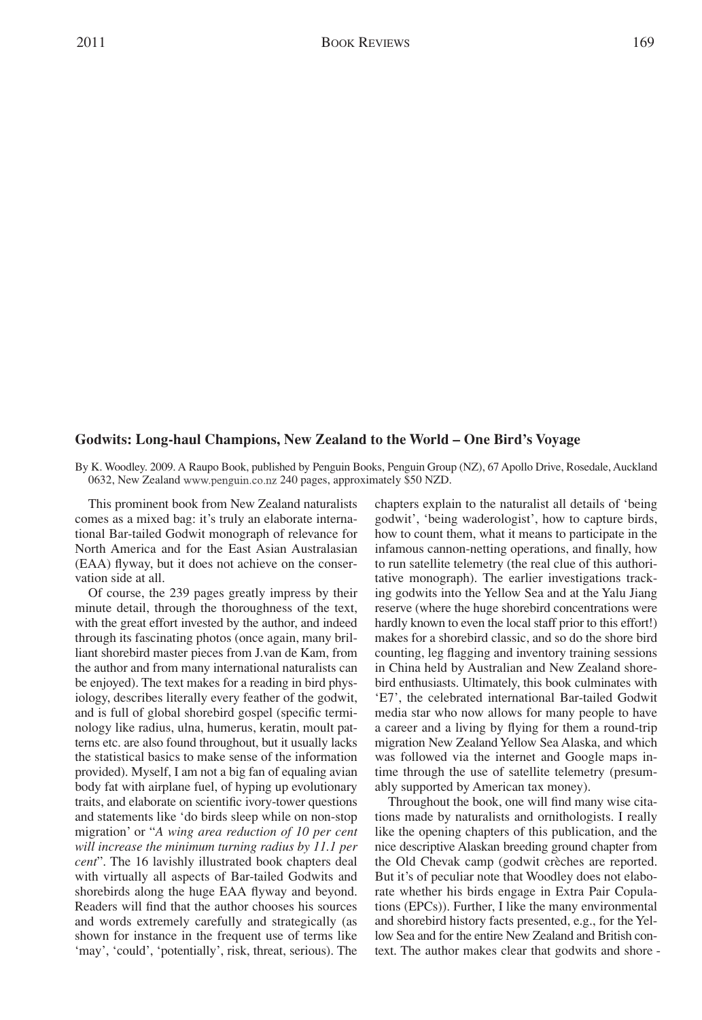## **Godwits: Long-haul Champions, New Zealand to the World – One Bird's Voyage**

By K. Woodley. 2009. A Raupo Book, published by Penguin Books, Penguin Group (NZ), 67 Apollo Drive, Rosedale, Auckland 0632, New Zealand www.penguin.co.nz 240 pages, approximately \$50 NZD.

This prominent book from New Zealand naturalists comes as a mixed bag: it's truly an elaborate international Bar-tailed Godwit monograph of relevance for North America and for the East Asian Australasian (EAA) flyway, but it does not achieve on the conservation side at all.

Of course, the 239 pages greatly impress by their minute detail, through the thoroughness of the text, with the great effort invested by the author, and indeed through its fascinating photos (once again, many brilliant shorebird master pieces from J.van de Kam, from the author and from many international naturalists can be enjoyed). The text makes for a reading in bird physiology, describes literally every feather of the godwit, and is full of global shorebird gospel (specific terminology like radius, ulna, humerus, keratin, moult patterns etc. are also found throughout, but it usually lacks the statistical basics to make sense of the information provided). Myself, I am not a big fan of equaling avian body fat with airplane fuel, of hyping up evolutionary traits, and elaborate on scientific ivory-tower questions and statements like 'do birds sleep while on non-stop migration' or "*A wing area reduction of 10 per cent will increase the minimum turning radius by 11.1 per cent*". The 16 lavishly illustrated book chapters deal with virtually all aspects of Bar-tailed Godwits and shorebirds along the huge EAA flyway and beyond. Readers will find that the author chooses his sources and words extremely carefully and strategically (as shown for instance in the frequent use of terms like 'may', 'could', 'potentially', risk, threat, serious). The chapters explain to the naturalist all details of 'being godwit', 'being waderologist', how to capture birds, how to count them, what it means to participate in the infamous cannon-netting operations, and finally, how to run satellite telemetry (the real clue of this authoritative monograph). The earlier investigations tracking godwits into the Yellow Sea and at the Yalu Jiang reserve (where the huge shorebird concentrations were hardly known to even the local staff prior to this effort!) makes for a shorebird classic, and so do the shore bird counting, leg flagging and inventory training sessions in China held by Australian and New Zealand shorebird enthusiasts. Ultimately, this book culminates with 'E7', the celebrated international Bar-tailed Godwit media star who now allows for many people to have a career and a living by flying for them a round-trip migration New Zealand Yellow Sea Alaska, and which was followed via the internet and Google maps intime through the use of satellite telemetry (presumably supported by American tax money).

Throughout the book, one will find many wise citations made by naturalists and ornithologists. I really like the opening chapters of this publication, and the nice descriptive Alaskan breeding ground chapter from the Old Chevak camp (godwit crèches are reported. But it's of peculiar note that Woodley does not elaborate whether his birds engage in Extra Pair Copulations (EPCs)). Further, I like the many environmental and shorebird history facts presented, e.g., for the Yellow Sea and for the entire New Zealand and British context. The author makes clear that godwits and shore -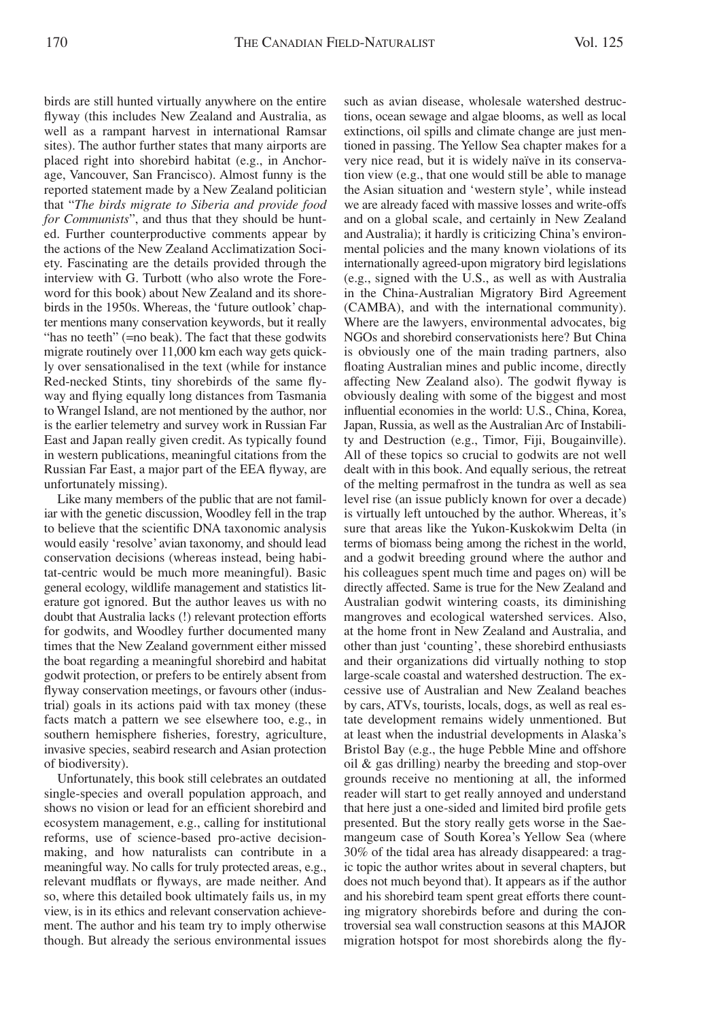birds are still hunted virtually anywhere on the entire flyway (this includes New Zealand and Australia, as well as a rampant harvest in international Ramsar sites). The author further states that many airports are placed right into shorebird habitat (e.g., in Anchorage, Vancouver, San Francisco). Almost funny is the reported statement made by a New Zealand politician that "*The birds migrate to Siberia and provide food for Communists*", and thus that they should be hunted. Further counterproductive comments appear by the actions of the New Zealand Acclimatization Society. Fascinating are the details provided through the interview with G. Turbott (who also wrote the Foreword for this book) about New Zealand and its shorebirds in the 1950s. Whereas, the 'future outlook' chapter mentions many conservation keywords, but it really "has no teeth" (=no beak). The fact that these godwits migrate routinely over 11,000 km each way gets quickly over sensationalised in the text (while for instance Red-necked Stints, tiny shorebirds of the same flyway and flying equally long distances from Tasmania to Wrangel Island, are not mentioned by the author, nor is the earlier telemetry and survey work in Russian Far East and Japan really given credit. As typically found in western publications, meaningful citations from the Russian Far East, a major part of the EEA flyway, are unfortunately missing).

Like many members of the public that are not familiar with the genetic discussion, Woodley fell in the trap to believe that the scientific DNA taxonomic analysis would easily 'resolve' avian taxonomy, and should lead conservation decisions (whereas instead, being habitat-centric would be much more meaningful). Basic general ecology, wildlife management and statistics literature got ignored. But the author leaves us with no doubt that Australia lacks (!) relevant protection efforts for godwits, and Woodley further documented many times that the New Zealand government either missed the boat regarding a meaningful shorebird and habitat godwit protection, or prefers to be entirely absent from flyway conservation meetings, or favours other (industrial) goals in its actions paid with tax money (these facts match a pattern we see elsewhere too, e.g., in southern hemisphere fisheries, forestry, agriculture, invasive species, seabird research and Asian protection of biodiversity).

Unfortunately, this book still celebrates an outdated single-species and overall population approach, and shows no vision or lead for an efficient shorebird and ecosystem management, e.g., calling for institutional reforms, use of science-based pro-active decisionmaking, and how naturalists can contribute in a meaningful way. No calls for truly protected areas, e.g., relevant mudflats or flyways, are made neither. And so, where this detailed book ultimately fails us, in my view, is in its ethics and relevant conservation achievement. The author and his team try to imply otherwise though. But already the serious environmental issues such as avian disease, wholesale watershed destructions, ocean sewage and algae blooms, as well as local extinctions, oil spills and climate change are just mentioned in passing. The Yellow Sea chapter makes for a very nice read, but it is widely naïve in its conservation view (e.g., that one would still be able to manage the Asian situation and 'western style', while instead we are already faced with massive losses and write-offs and on a global scale, and certainly in New Zealand and Australia); it hardly is criticizing China's environmental policies and the many known violations of its internationally agreed-upon migratory bird legislations (e.g., signed with the U.S., as well as with Australia in the China-Australian Migratory Bird Agreement (CAMBA), and with the international community). Where are the lawyers, environmental advocates, big NGOs and shorebird conservationists here? But China is obviously one of the main trading partners, also floating Australian mines and public income, directly affecting New Zealand also). The godwit flyway is obviously dealing with some of the biggest and most influential economies in the world: U.S., China, Korea, Japan, Russia, as well as the Australian Arc of Instability and Destruction (e.g., Timor, Fiji, Bougainville). All of these topics so crucial to godwits are not well dealt with in this book. And equally serious, the retreat of the melting permafrost in the tundra as well as sea level rise (an issue publicly known for over a decade) is virtually left untouched by the author. Whereas, it's sure that areas like the Yukon-Kuskokwim Delta (in terms of biomass being among the richest in the world, and a godwit breeding ground where the author and his colleagues spent much time and pages on) will be directly affected. Same is true for the New Zealand and Australian godwit wintering coasts, its diminishing mangroves and ecological watershed services. Also, at the home front in New Zealand and Australia, and other than just 'counting', these shorebird enthusiasts and their organizations did virtually nothing to stop large-scale coastal and watershed destruction. The excessive use of Australian and New Zealand beaches by cars, ATVs, tourists, locals, dogs, as well as real estate development remains widely unmentioned. But at least when the industrial developments in Alaska's Bristol Bay (e.g., the huge Pebble Mine and offshore oil & gas drilling) nearby the breeding and stop-over grounds receive no mentioning at all, the informed reader will start to get really annoyed and understand that here just a one-sided and limited bird profile gets presented. But the story really gets worse in the Saemangeum case of South Korea's Yellow Sea (where 30% of the tidal area has already disappeared: a tragic topic the author writes about in several chapters, but does not much beyond that). It appears as if the author and his shorebird team spent great efforts there counting migratory shorebirds before and during the controversial sea wall construction seasons at this MAJOR migration hotspot for most shorebirds along the fly-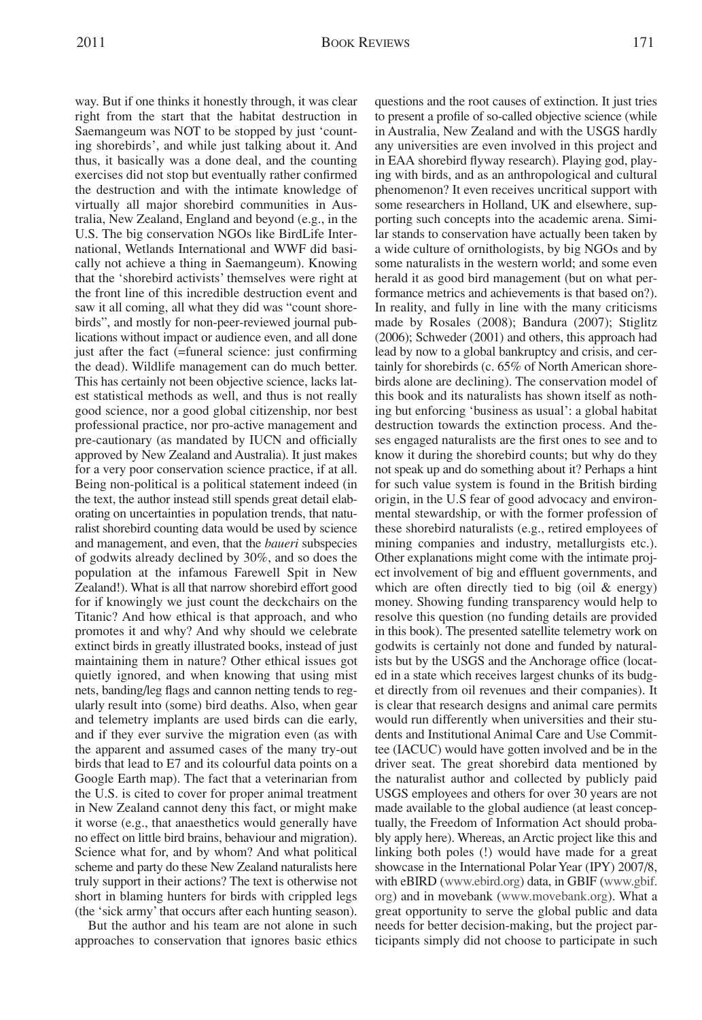way. But if one thinks it honestly through, it was clear right from the start that the habitat destruction in Saemangeum was NOT to be stopped by just 'counting shorebirds', and while just talking about it. And thus, it basically was a done deal, and the counting exercises did not stop but eventually rather confirmed the destruction and with the intimate knowledge of virtually all major shorebird communities in Australia, New Zealand, England and beyond (e.g., in the U.S. The big conservation NGOs like BirdLife International, Wetlands International and WWF did basically not achieve a thing in Saemangeum). Knowing that the 'shorebird activists' themselves were right at the front line of this incredible destruction event and saw it all coming, all what they did was "count shorebirds", and mostly for non-peer-reviewed journal publications without impact or audience even, and all done just after the fact (=funeral science: just confirming the dead). Wildlife management can do much better. This has certainly not been objective science, lacks latest statistical methods as well, and thus is not really good science, nor a good global citizenship, nor best professional practice, nor pro-active management and pre-cautionary (as mandated by IUCN and officially approved by New Zealand and Australia). It just makes for a very poor conservation science practice, if at all. Being non-political is a political statement indeed (in the text, the author instead still spends great detail elaborating on uncertainties in population trends, that naturalist shorebird counting data would be used by science and management, and even, that the *baueri* subspecies of godwits already declined by 30%, and so does the population at the infamous Farewell Spit in New Zealand!). What is all that narrow shorebird effort good for if knowingly we just count the deckchairs on the Titanic? And how ethical is that approach, and who promotes it and why? And why should we celebrate extinct birds in greatly illustrated books, instead of just maintaining them in nature? Other ethical issues got quietly ignored, and when knowing that using mist nets, banding/leg flags and cannon netting tends to regularly result into (some) bird deaths. Also, when gear and telemetry implants are used birds can die early, and if they ever survive the migration even (as with the apparent and assumed cases of the many try-out birds that lead to E7 and its colourful data points on a Google Earth map). The fact that a veterinarian from the U.S. is cited to cover for proper animal treatment in New Zealand cannot deny this fact, or might make it worse (e.g., that anaesthetics would generally have no effect on little bird brains, behaviour and migration). Science what for, and by whom? And what political scheme and party do these New Zealand naturalists here truly support in their actions? The text is otherwise not short in blaming hunters for birds with crippled legs (the 'sick army'that occurs after each hunting season).

But the author and his team are not alone in such approaches to conservation that ignores basic ethics questions and the root causes of extinction. It just tries to present a profile of so-called objective science (while in Australia, New Zealand and with the USGS hardly any universities are even involved in this project and in EAA shorebird flyway research). Playing god, playing with birds, and as an anthropological and cultural phenomenon? It even receives uncritical support with some researchers in Holland, UK and elsewhere, supporting such concepts into the academic arena. Similar stands to conservation have actually been taken by a wide culture of ornithologists, by big NGOs and by some naturalists in the western world; and some even herald it as good bird management (but on what performance metrics and achievements is that based on?). In reality, and fully in line with the many criticisms made by Rosales (2008); Bandura (2007); Stiglitz (2006); Schweder (2001) and others, this approach had lead by now to a global bankruptcy and crisis, and certainly for shorebirds (c. 65% of North American shorebirds alone are declining). The conservation model of this book and its naturalists has shown itself as nothing but enforcing 'business as usual': a global habitat destruction towards the extinction process. And theses engaged naturalists are the first ones to see and to know it during the shorebird counts; but why do they not speak up and do something about it? Perhaps a hint for such value system is found in the British birding origin, in the U.S fear of good advocacy and environmental stewardship, or with the former profession of these shorebird naturalists (e.g., retired employees of mining companies and industry, metallurgists etc.). Other explanations might come with the intimate project involvement of big and effluent governments, and which are often directly tied to big (oil & energy) money. Showing funding transparency would help to resolve this question (no funding details are provided in this book). The presented satellite telemetry work on godwits is certainly not done and funded by naturalists but by the USGS and the Anchorage office (located in a state which receives largest chunks of its budget directly from oil revenues and their companies). It is clear that research designs and animal care permits would run differently when universities and their students and Institutional Animal Care and Use Committee (IACUC) would have gotten involved and be in the driver seat. The great shorebird data mentioned by the naturalist author and collected by publicly paid USGS employees and others for over 30 years are not made available to the global audience (at least conceptually, the Freedom of Information Act should probably apply here). Whereas, an Arctic project like this and linking both poles (!) would have made for a great showcase in the International Polar Year (IPY) 2007/8, with eBIRD (www.ebird.org) data, in GBIF (www.gbif. org) and in movebank (www.movebank.org). What a great opportunity to serve the global public and data needs for better decision-making, but the project participants simply did not choose to participate in such